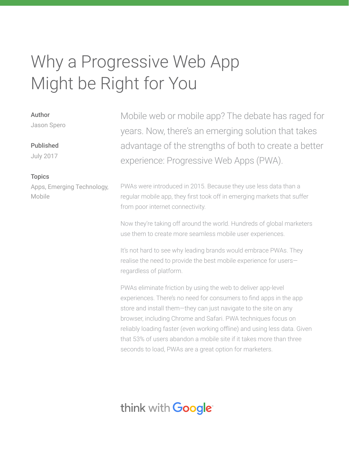# Why a Progressive Web App Might be Right for You

#### Author

Jason Spero

### Published

July 2017

### **Topics**

Apps, Emerging Technology, Mobile

Mobile web or mobile app? The debate has raged for years. Now, there's an emerging solution that takes advantage of the strengths of both to create a better experience: Progressive Web Apps (PWA).

PWAs were introduced in 2015. Because they use less data than a regular mobile app, they first took off in emerging markets that suffer from poor internet connectivity.

Now they're taking off around the world. Hundreds of global marketers use them to create more seamless mobile user experiences.

It's not hard to see why leading brands would embrace PWAs. They realise the need to provide the best mobile experience for users― regardless of platform.

PWAs eliminate friction by using the web to deliver app-level experiences. There's no need for consumers to find apps in the app store and install them—they can just navigate to the site on any browser, including Chrome and Safari. PWA techniques focus on reliably loading faster (even working offline) and using less data. Given that 53% of users abandon a mobile site if it takes more than three seconds to load, PWAs are a great option for marketers.

# think with **Google**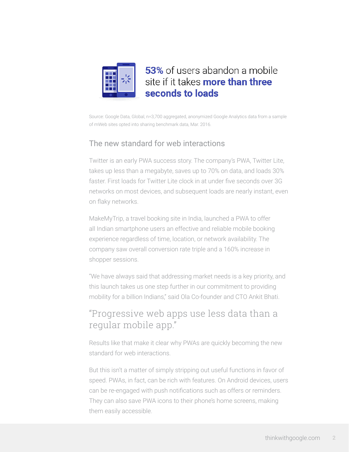

# 53% of users abandon a mobile site if it takes more than three seconds to loads

Source: Google Data, Global, n=3,700 aggregated, anonymized Google Analytics data from a sample of mWeb sites opted into sharing benchmark data, Mar. 2016.

## The new standard for web interactions

Twitter is an early PWA success story. The company's PWA, Twitter Lite, takes up less than a megabyte, saves up to 70% on data, and loads 30% faster. First loads for Twitter Lite clock in at under five seconds over 3G networks on most devices, and subsequent loads are nearly instant, even on flaky networks.

MakeMyTrip, a travel booking site in India, launched a PWA to offer all Indian smartphone users an effective and reliable mobile booking experience regardless of time, location, or network availability. The company saw overall conversion rate triple and a 160% increase in shopper sessions.

"We have always said that addressing market needs is a key priority, and this launch takes us one step further in our commitment to providing mobility for a billion Indians," said Ola Co-founder and CTO Ankit Bhati.

# "Progressive web apps use less data than a regular mobile app."

Results like that make it clear why PWAs are quickly becoming the new standard for web interactions.

But this isn't a matter of simply stripping out useful functions in favor of speed. PWAs, in fact, can be rich with features. On Android devices, users can be re-engaged with push notifications such as offers or reminders. They can also save PWA icons to their phone's home screens, making them easily accessible.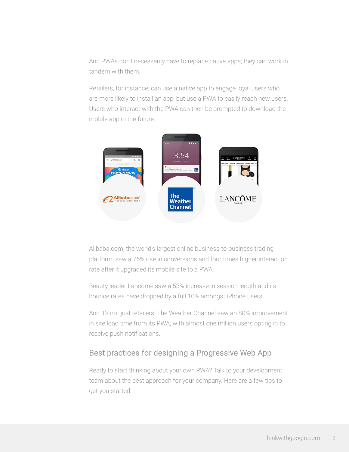And PWAs don't necessarily have to replace native apps; they can work in tandem with them.

Retailers, for instance, can use a native app to engage loyal users who are more likely to install an app, but use a PWA to easily reach new users. Users who interact with the PWA can then be prompted to download the mobile app in the future.



Alibaba.com, the world's largest online business-to-business trading platform, saw a 76% rise in conversions and four times higher interaction rate after it upgraded its mobile site to a PWA.

Beauty leader Lancôme saw a 53% increase in session length and its bounce rates have dropped by a full 10% amongst iPhone users.

And it's not just retailers. The Weather Channel saw an 80% improvement in site load time from its PWA, with almost one million users opting in to receive push notifications.

### Best practices for designing a Progressive Web App

Ready to start thinking about your own PWA? Talk to your development team about the best approach for your company. Here are a few tips to get you started.